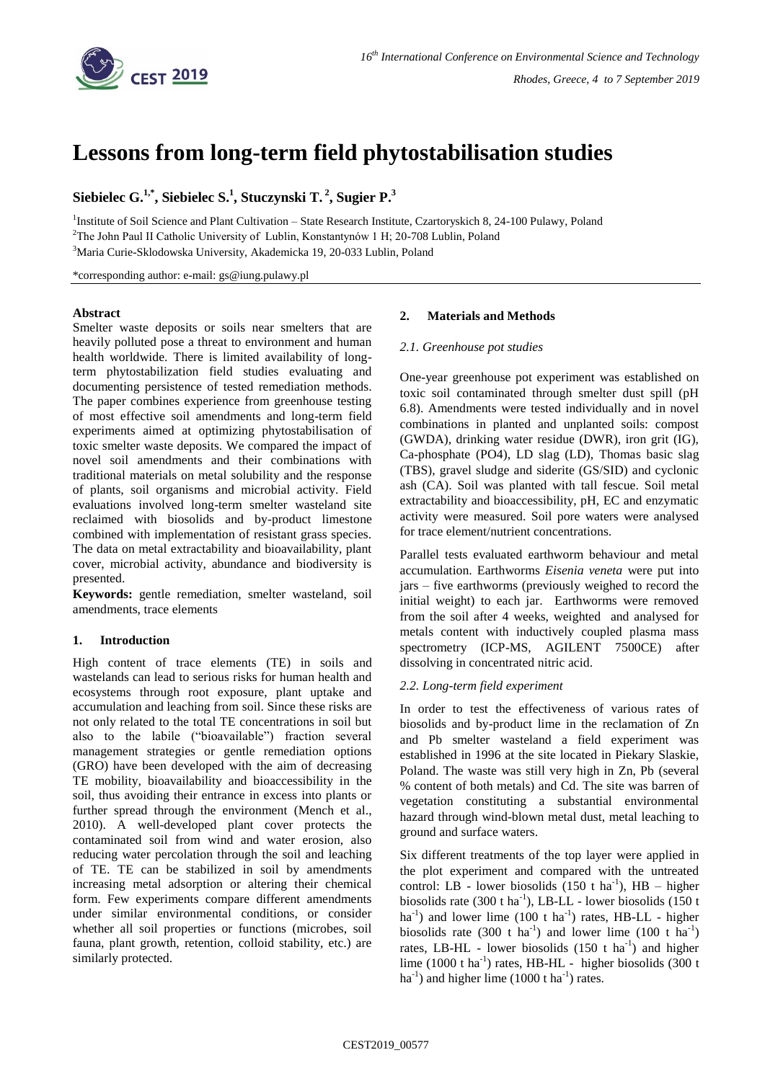

# **Lessons from long-term field phytostabilisation studies**

# **Siebielec G. 1,\* , Siebielec S. 1 , Stuczynski T. 2 , Sugier P. 3**

<sup>1</sup>Institute of Soil Science and Plant Cultivation - State Research Institute, Czartoryskich 8, 24-100 Pulawy, Poland <sup>2</sup>The John Paul II Catholic University of Lublin, Konstantynów 1 H; 20-708 Lublin, Poland <sup>3</sup>Maria Curie-Sklodowska University, Akademicka 19, 20-033 Lublin, Poland

\*corresponding author: e-mail: gs@iung.pulawy.pl

#### **Abstract**

Smelter waste deposits or soils near smelters that are heavily polluted pose a threat to environment and human health worldwide. There is limited availability of longterm phytostabilization field studies evaluating and documenting persistence of tested remediation methods. The paper combines experience from greenhouse testing of most effective soil amendments and long-term field experiments aimed at optimizing phytostabilisation of toxic smelter waste deposits. We compared the impact of novel soil amendments and their combinations with traditional materials on metal solubility and the response of plants, soil organisms and microbial activity. Field evaluations involved long-term smelter wasteland site reclaimed with biosolids and by-product limestone combined with implementation of resistant grass species. The data on metal extractability and bioavailability, plant cover, microbial activity, abundance and biodiversity is presented.

**Keywords:** gentle remediation, smelter wasteland, soil amendments, trace elements

# **1. Introduction**

High content of trace elements (TE) in soils and wastelands can lead to serious risks for human health and ecosystems through root exposure, plant uptake and accumulation and leaching from soil. Since these risks are not only related to the total TE concentrations in soil but also to the labile ("bioavailable") fraction several management strategies or gentle remediation options (GRO) have been developed with the aim of decreasing TE mobility, bioavailability and bioaccessibility in the soil, thus avoiding their entrance in excess into plants or further spread through the environment (Mench et al., 2010). A well-developed plant cover protects the contaminated soil from wind and water erosion, also reducing water percolation through the soil and leaching of TE. TE can be stabilized in soil by amendments increasing metal adsorption or altering their chemical form. Few experiments compare different amendments under similar environmental conditions, or consider whether all soil properties or functions (microbes, soil fauna, plant growth, retention, colloid stability, etc.) are similarly protected.

# **2. Materials and Methods**

# *2.1. Greenhouse pot studies*

One-year greenhouse pot experiment was established on toxic soil contaminated through smelter dust spill (pH 6.8). Amendments were tested individually and in novel combinations in planted and unplanted soils: compost (GWDA), drinking water residue (DWR), iron grit (IG), Ca-phosphate (PO4), LD slag (LD), Thomas basic slag (TBS), gravel sludge and siderite (GS/SID) and cyclonic ash (CA). Soil was planted with tall fescue. Soil metal extractability and bioaccessibility, pH, EC and enzymatic activity were measured. Soil pore waters were analysed for trace element/nutrient concentrations.

Parallel tests evaluated earthworm behaviour and metal accumulation. Earthworms *Eisenia veneta* were put into jars – five earthworms (previously weighed to record the initial weight) to each jar. Earthworms were removed from the soil after 4 weeks, weighted and analysed for metals content with inductively coupled plasma mass spectrometry (ICP-MS, AGILENT 7500CE) after dissolving in concentrated nitric acid.

# *2.2. Long-term field experiment*

In order to test the effectiveness of various rates of biosolids and by-product lime in the reclamation of Zn and Pb smelter wasteland a field experiment was established in 1996 at the site located in Piekary Slaskie, Poland. The waste was still very high in Zn, Pb (several % content of both metals) and Cd. The site was barren of vegetation constituting a substantial environmental hazard through wind-blown metal dust, metal leaching to ground and surface waters.

Six different treatments of the top layer were applied in the plot experiment and compared with the untreated control: LB - lower biosolids  $(150 \text{ t} \text{ ha}^{-1})$ , HB - higher biosolids rate  $(300 \text{ t ha}^{-1})$ , LB-LL - lower biosolids  $(150 \text{ t ha}^{-1})$  $ha^{-1}$ ) and lower lime (100 t  $ha^{-1}$ ) rates, HB-LL - higher biosolids rate (300 t ha<sup>-1</sup>) and lower lime (100 t ha<sup>-1</sup>) rates, LB-HL - lower biosolids  $(150 \text{ t} \text{ ha}^{-1})$  and higher lime  $(1000 \text{ t} \text{ ha}^{-1})$  rates, HB-HL - higher biosolids  $(300 \text{ t} \text{ h})$  $ha^{-1}$ ) and higher lime (1000 t ha<sup>-1</sup>) rates.